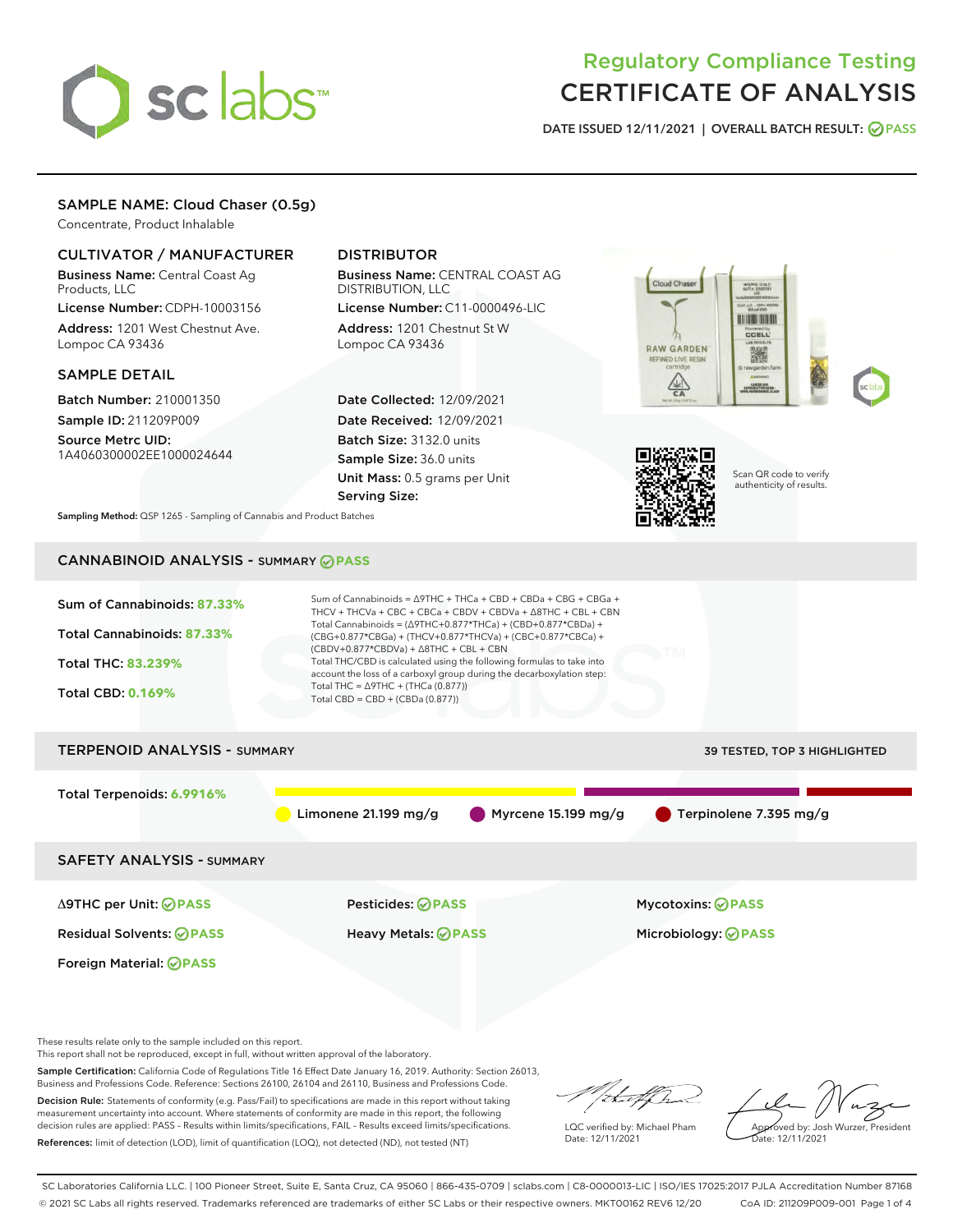

# Regulatory Compliance Testing CERTIFICATE OF ANALYSIS

DATE ISSUED 12/11/2021 | OVERALL BATCH RESULT: @ PASS

# SAMPLE NAME: Cloud Chaser (0.5g)

Concentrate, Product Inhalable

# CULTIVATOR / MANUFACTURER

Business Name: Central Coast Ag Products, LLC

License Number: CDPH-10003156 Address: 1201 West Chestnut Ave. Lompoc CA 93436

### SAMPLE DETAIL

Batch Number: 210001350 Sample ID: 211209P009

Source Metrc UID: 1A4060300002EE1000024644

# DISTRIBUTOR

Business Name: CENTRAL COAST AG DISTRIBUTION, LLC

License Number: C11-0000496-LIC Address: 1201 Chestnut St W Lompoc CA 93436

Date Collected: 12/09/2021 Date Received: 12/09/2021 Batch Size: 3132.0 units Sample Size: 36.0 units Unit Mass: 0.5 grams per Unit Serving Size:





Scan QR code to verify authenticity of results.

Sampling Method: QSP 1265 - Sampling of Cannabis and Product Batches

# CANNABINOID ANALYSIS - SUMMARY **PASS**



This report shall not be reproduced, except in full, without written approval of the laboratory.

Sample Certification: California Code of Regulations Title 16 Effect Date January 16, 2019. Authority: Section 26013, Business and Professions Code. Reference: Sections 26100, 26104 and 26110, Business and Professions Code.

Decision Rule: Statements of conformity (e.g. Pass/Fail) to specifications are made in this report without taking measurement uncertainty into account. Where statements of conformity are made in this report, the following decision rules are applied: PASS – Results within limits/specifications, FAIL – Results exceed limits/specifications. References: limit of detection (LOD), limit of quantification (LOQ), not detected (ND), not tested (NT)

that f In

LQC verified by: Michael Pham Date: 12/11/2021

Approved by: Josh Wurzer, President ate: 12/11/2021

SC Laboratories California LLC. | 100 Pioneer Street, Suite E, Santa Cruz, CA 95060 | 866-435-0709 | sclabs.com | C8-0000013-LIC | ISO/IES 17025:2017 PJLA Accreditation Number 87168 © 2021 SC Labs all rights reserved. Trademarks referenced are trademarks of either SC Labs or their respective owners. MKT00162 REV6 12/20 CoA ID: 211209P009-001 Page 1 of 4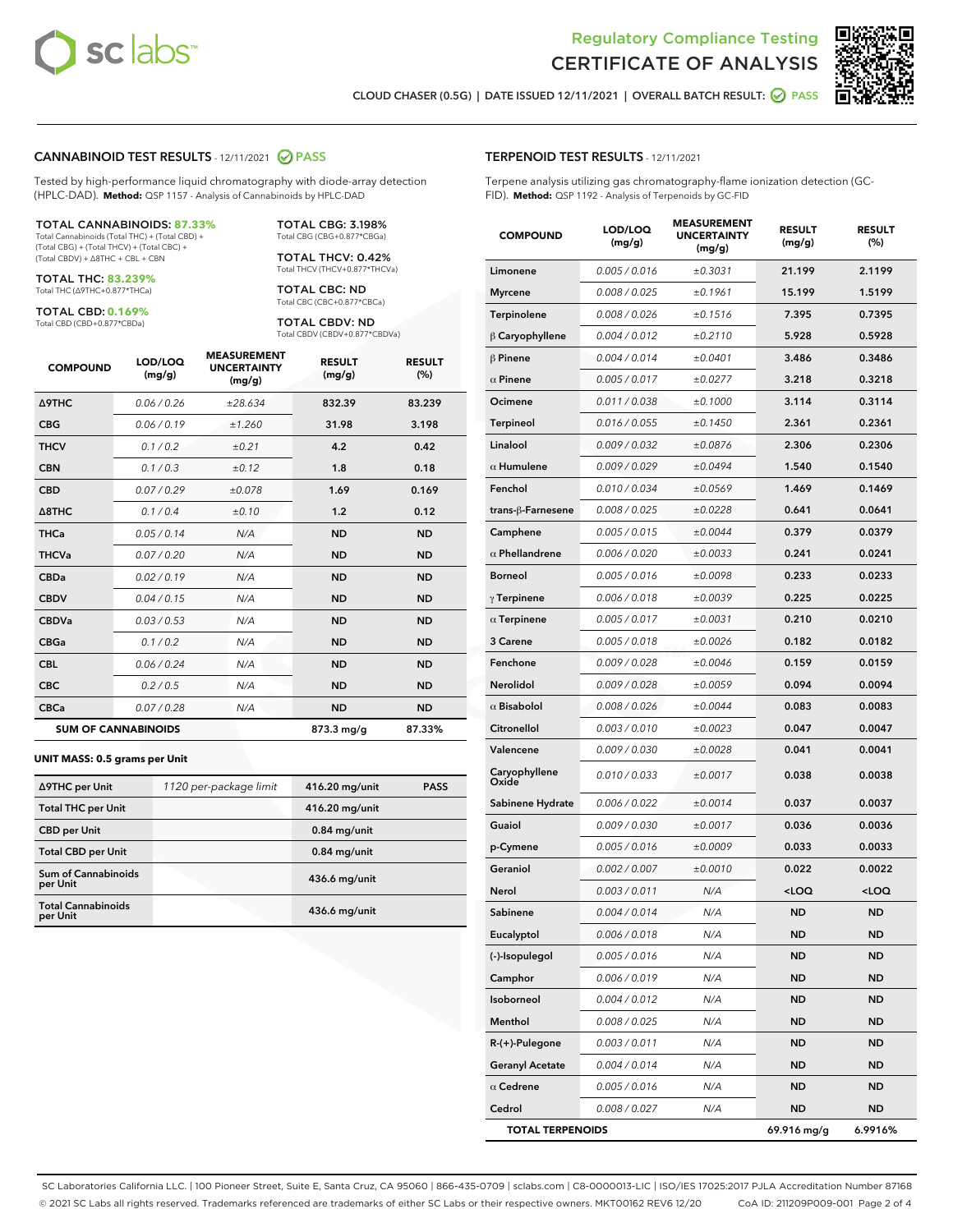



CLOUD CHASER (0.5G) | DATE ISSUED 12/11/2021 | OVERALL BATCH RESULT: **● PASS** 

### CANNABINOID TEST RESULTS - 12/11/2021 2 PASS

Tested by high-performance liquid chromatography with diode-array detection (HPLC-DAD). **Method:** QSP 1157 - Analysis of Cannabinoids by HPLC-DAD

#### TOTAL CANNABINOIDS: **87.33%**

Total Cannabinoids (Total THC) + (Total CBD) + (Total CBG) + (Total THCV) + (Total CBC) + (Total CBDV) + ∆8THC + CBL + CBN

TOTAL THC: **83.239%** Total THC (∆9THC+0.877\*THCa)

TOTAL CBD: **0.169%**

Total CBD (CBD+0.877\*CBDa)

TOTAL CBG: 3.198% Total CBG (CBG+0.877\*CBGa)

TOTAL THCV: 0.42% Total THCV (THCV+0.877\*THCVa)

TOTAL CBC: ND Total CBC (CBC+0.877\*CBCa)

TOTAL CBDV: ND Total CBDV (CBDV+0.877\*CBDVa)

| <b>COMPOUND</b>            | LOD/LOQ<br>(mg/g) | <b>MEASUREMENT</b><br><b>UNCERTAINTY</b><br>(mg/g) | <b>RESULT</b><br>(mg/g) | <b>RESULT</b><br>(%) |
|----------------------------|-------------------|----------------------------------------------------|-------------------------|----------------------|
| Δ9THC                      | 0.06 / 0.26       | ±28.634                                            | 832.39                  | 83.239               |
| <b>CBG</b>                 | 0.06 / 0.19       | ±1.260                                             | 31.98                   | 3.198                |
| <b>THCV</b>                | 0.1 / 0.2         | ±0.21                                              | 4.2                     | 0.42                 |
| <b>CBN</b>                 | 0.1/0.3           | ±0.12                                              | 1.8                     | 0.18                 |
| <b>CBD</b>                 | 0.07/0.29         | ±0.078                                             | 1.69                    | 0.169                |
| $\triangle$ 8THC           | 0.1 / 0.4         | ±0.10                                              | 1.2                     | 0.12                 |
| <b>THCa</b>                | 0.05/0.14         | N/A                                                | <b>ND</b>               | <b>ND</b>            |
| <b>THCVa</b>               | 0.07/0.20         | N/A                                                | <b>ND</b>               | <b>ND</b>            |
| <b>CBDa</b>                | 0.02/0.19         | N/A                                                | <b>ND</b>               | <b>ND</b>            |
| <b>CBDV</b>                | 0.04 / 0.15       | N/A                                                | <b>ND</b>               | <b>ND</b>            |
| <b>CBDVa</b>               | 0.03/0.53         | N/A                                                | <b>ND</b>               | <b>ND</b>            |
| <b>CBGa</b>                | 0.1/0.2           | N/A                                                | <b>ND</b>               | <b>ND</b>            |
| <b>CBL</b>                 | 0.06 / 0.24       | N/A                                                | <b>ND</b>               | <b>ND</b>            |
| <b>CBC</b>                 | 0.2 / 0.5         | N/A                                                | <b>ND</b>               | <b>ND</b>            |
| <b>CBCa</b>                | 0.07 / 0.28       | N/A                                                | <b>ND</b>               | <b>ND</b>            |
| <b>SUM OF CANNABINOIDS</b> |                   |                                                    | $873.3 \,\mathrm{mg/g}$ | 87.33%               |

#### **UNIT MASS: 0.5 grams per Unit**

| ∆9THC per Unit                         | 1120 per-package limit | 416.20 mg/unit  | <b>PASS</b> |
|----------------------------------------|------------------------|-----------------|-------------|
| <b>Total THC per Unit</b>              |                        | 416.20 mg/unit  |             |
| <b>CBD</b> per Unit                    |                        | $0.84$ mg/unit  |             |
| <b>Total CBD per Unit</b>              |                        | $0.84$ mg/unit  |             |
| <b>Sum of Cannabinoids</b><br>per Unit |                        | $436.6$ mg/unit |             |
| <b>Total Cannabinoids</b><br>per Unit  |                        | $436.6$ mg/unit |             |

| <b>COMPOUND</b>         | LOD/LOQ<br>(mg/g) | ASUREIVI<br><b>UNCERTAINTY</b><br>(mg/g) | <b>RESULT</b><br>(mg/g)                         | <b>RESULT</b><br>$(\%)$ |
|-------------------------|-------------------|------------------------------------------|-------------------------------------------------|-------------------------|
| Limonene                | 0.005 / 0.016     | ±0.3031                                  | 21.199                                          | 2.1199                  |
| <b>Myrcene</b>          | 0.008 / 0.025     | ±0.1961                                  | 15.199                                          | 1.5199                  |
| Terpinolene             | 0.008 / 0.026     | ±0.1516                                  | 7.395                                           | 0.7395                  |
| $\beta$ Caryophyllene   | 0.004 / 0.012     | ±0.2110                                  | 5.928                                           | 0.5928                  |
| $\beta$ Pinene          | 0.004 / 0.014     | ±0.0401                                  | 3.486                                           | 0.3486                  |
| $\alpha$ Pinene         | 0.005 / 0.017     | ±0.0277                                  | 3.218                                           | 0.3218                  |
| Ocimene                 | 0.011 / 0.038     | ±0.1000                                  | 3.114                                           | 0.3114                  |
| Terpineol               | 0.016 / 0.055     | ±0.1450                                  | 2.361                                           | 0.2361                  |
| Linalool                | 0.009 / 0.032     | ±0.0876                                  | 2.306                                           | 0.2306                  |
| $\alpha$ Humulene       | 0.009 / 0.029     | ±0.0494                                  | 1.540                                           | 0.1540                  |
| Fenchol                 | 0.010 / 0.034     | ±0.0569                                  | 1.469                                           | 0.1469                  |
| trans-ß-Farnesene       | 0.008 / 0.025     | ±0.0228                                  | 0.641                                           | 0.0641                  |
| Camphene                | 0.005 / 0.015     | ±0.0044                                  | 0.379                                           | 0.0379                  |
| $\alpha$ Phellandrene   | 0.006 / 0.020     | ±0.0033                                  | 0.241                                           | 0.0241                  |
| <b>Borneol</b>          | 0.005 / 0.016     | ±0.0098                                  | 0.233                                           | 0.0233                  |
| $\gamma$ Terpinene      | 0.006 / 0.018     | ±0.0039                                  | 0.225                                           | 0.0225                  |
| $\alpha$ Terpinene      | 0.005 / 0.017     | ±0.0031                                  | 0.210                                           | 0.0210                  |
| 3 Carene                | 0.005 / 0.018     | ±0.0026                                  | 0.182                                           | 0.0182                  |
| Fenchone                | 0.009 / 0.028     | ±0.0046                                  | 0.159                                           | 0.0159                  |
| Nerolidol               | 0.009 / 0.028     | ±0.0059                                  | 0.094                                           | 0.0094                  |
| $\alpha$ Bisabolol      | 0.008 / 0.026     | ±0.0044                                  | 0.083                                           | 0.0083                  |
| Citronellol             | 0.003 / 0.010     | ±0.0023                                  | 0.047                                           | 0.0047                  |
| Valencene               | 0.009 / 0.030     | ±0.0028                                  | 0.041                                           | 0.0041                  |
| Caryophyllene<br>Oxide  | 0.010 / 0.033     | ±0.0017                                  | 0.038                                           | 0.0038                  |
| Sabinene Hydrate        | 0.006 / 0.022     | ±0.0014                                  | 0.037                                           | 0.0037                  |
| Guaiol                  | 0.009 / 0.030     | ±0.0017                                  | 0.036                                           | 0.0036                  |
| p-Cymene                | 0.005 / 0.016     | ±0.0009                                  | 0.033                                           | 0.0033                  |
| Geraniol                | 0.002 / 0.007     | ±0.0010                                  | 0.022                                           | 0.0022                  |
| Nerol                   | 0.003 / 0.011     | N/A                                      | <loq< th=""><th><loq< th=""></loq<></th></loq<> | <loq< th=""></loq<>     |
| Sabinene                | 0.004 / 0.014     | N/A                                      | <b>ND</b>                                       | ND                      |
| Eucalyptol              | 0.006 / 0.018     | N/A                                      | ND                                              | ND                      |
| (-)-Isopulegol          | 0.005 / 0.016     | N/A                                      | ND                                              | ND                      |
| Camphor                 | 0.006 / 0.019     | N/A                                      | ND                                              | ND                      |
| Isoborneol              | 0.004 / 0.012     | N/A                                      | ND                                              | ND                      |
| Menthol                 | 0.008 / 0.025     | N/A                                      | ND                                              | ND                      |
| R-(+)-Pulegone          | 0.003 / 0.011     | N/A                                      | ND                                              | ND                      |
| <b>Geranyl Acetate</b>  | 0.004 / 0.014     | N/A                                      | ND                                              | ND                      |
| $\alpha$ Cedrene        | 0.005 / 0.016     | N/A                                      | ND                                              | ND                      |
| Cedrol                  | 0.008 / 0.027     | N/A                                      | ND                                              | ND                      |
| <b>TOTAL TERPENOIDS</b> |                   |                                          | 69.916 mg/g                                     | 6.9916%                 |

SC Laboratories California LLC. | 100 Pioneer Street, Suite E, Santa Cruz, CA 95060 | 866-435-0709 | sclabs.com | C8-0000013-LIC | ISO/IES 17025:2017 PJLA Accreditation Number 87168 © 2021 SC Labs all rights reserved. Trademarks referenced are trademarks of either SC Labs or their respective owners. MKT00162 REV6 12/20 CoA ID: 211209P009-001 Page 2 of 4

# TERPENOID TEST RESULTS - 12/11/2021

Terpene analysis utilizing gas chromatography-flame ionization detection (GC-FID). **Method:** QSP 1192 - Analysis of Terpenoids by GC-FID

MEASUREMENT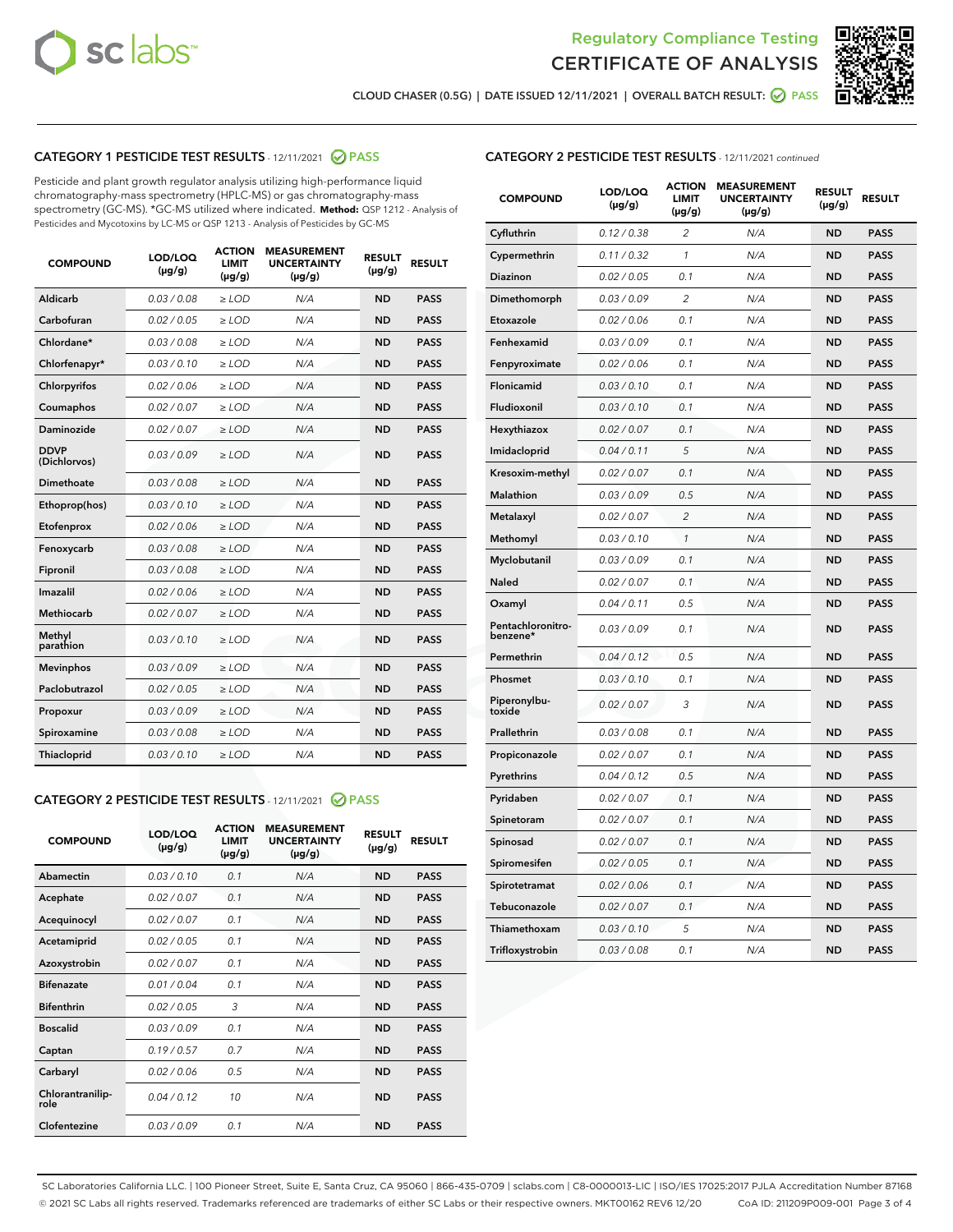



CLOUD CHASER (0.5G) | DATE ISSUED 12/11/2021 | OVERALL BATCH RESULT: **⊘** PASS

# CATEGORY 1 PESTICIDE TEST RESULTS - 12/11/2021 2 PASS

Pesticide and plant growth regulator analysis utilizing high-performance liquid chromatography-mass spectrometry (HPLC-MS) or gas chromatography-mass spectrometry (GC-MS). \*GC-MS utilized where indicated. **Method:** QSP 1212 - Analysis of Pesticides and Mycotoxins by LC-MS or QSP 1213 - Analysis of Pesticides by GC-MS

| 0.03/0.08<br><b>ND</b><br>Aldicarb<br>$>$ LOD<br>N/A<br><b>PASS</b><br>Carbofuran<br>0.02 / 0.05<br><b>ND</b><br><b>PASS</b><br>$>$ LOD<br>N/A<br>Chlordane*<br>0.03 / 0.08<br><b>ND</b><br><b>PASS</b><br>$\geq$ LOD<br>N/A<br>Chlorfenapyr*<br>0.03/0.10<br><b>ND</b><br><b>PASS</b><br>$\geq$ LOD<br>N/A<br>N/A<br><b>ND</b><br><b>PASS</b><br>Chlorpyrifos<br>0.02 / 0.06<br>$\ge$ LOD<br>Coumaphos<br>0.02 / 0.07<br>N/A<br><b>ND</b><br><b>PASS</b><br>$\ge$ LOD<br>Daminozide<br>0.02 / 0.07<br>N/A<br><b>ND</b><br><b>PASS</b><br>$\ge$ LOD<br><b>DDVP</b><br>0.03/0.09<br>$>$ LOD<br>N/A<br><b>ND</b><br><b>PASS</b><br>(Dichlorvos)<br>Dimethoate<br>0.03/0.08<br>$>$ LOD<br>N/A<br><b>ND</b><br><b>PASS</b><br>0.03/0.10<br>N/A<br><b>ND</b><br><b>PASS</b><br>Ethoprop(hos)<br>$\ge$ LOD<br>0.02 / 0.06<br>N/A<br><b>ND</b><br><b>PASS</b><br>Etofenprox<br>$\ge$ LOD<br>0.03/0.08<br>N/A<br><b>ND</b><br><b>PASS</b><br>Fenoxycarb<br>$\ge$ LOD<br>0.03/0.08<br><b>ND</b><br><b>PASS</b><br>Fipronil<br>$\ge$ LOD<br>N/A<br>Imazalil<br>0.02 / 0.06<br>$\ge$ LOD<br>N/A<br><b>ND</b><br><b>PASS</b><br>Methiocarb<br>0.02 / 0.07<br><b>ND</b><br><b>PASS</b><br>$\ge$ LOD<br>N/A<br>Methyl<br>0.03/0.10<br>$\ge$ LOD<br>N/A<br><b>ND</b><br><b>PASS</b><br>parathion<br>0.03/0.09<br><b>ND</b><br><b>Mevinphos</b><br>$\ge$ LOD<br>N/A<br><b>PASS</b><br>Paclobutrazol<br>0.02 / 0.05<br>$\ge$ LOD<br>N/A<br><b>ND</b><br><b>PASS</b><br>0.03/0.09<br>$\ge$ LOD<br>N/A<br><b>ND</b><br><b>PASS</b><br>Propoxur<br>0.03 / 0.08<br>$\ge$ LOD<br>N/A<br><b>ND</b><br><b>PASS</b><br>Spiroxamine<br>0.03/0.10<br><b>ND</b><br><b>PASS</b><br>Thiacloprid<br>$\ge$ LOD<br>N/A | <b>COMPOUND</b> | LOD/LOQ<br>$(\mu g/g)$ | <b>ACTION</b><br>LIMIT<br>$(\mu g/g)$ | <b>MEASUREMENT</b><br><b>UNCERTAINTY</b><br>$(\mu g/g)$ | <b>RESULT</b><br>$(\mu g/g)$ | <b>RESULT</b> |
|---------------------------------------------------------------------------------------------------------------------------------------------------------------------------------------------------------------------------------------------------------------------------------------------------------------------------------------------------------------------------------------------------------------------------------------------------------------------------------------------------------------------------------------------------------------------------------------------------------------------------------------------------------------------------------------------------------------------------------------------------------------------------------------------------------------------------------------------------------------------------------------------------------------------------------------------------------------------------------------------------------------------------------------------------------------------------------------------------------------------------------------------------------------------------------------------------------------------------------------------------------------------------------------------------------------------------------------------------------------------------------------------------------------------------------------------------------------------------------------------------------------------------------------------------------------------------------------------------------------------------------------------------------------------------------------|-----------------|------------------------|---------------------------------------|---------------------------------------------------------|------------------------------|---------------|
|                                                                                                                                                                                                                                                                                                                                                                                                                                                                                                                                                                                                                                                                                                                                                                                                                                                                                                                                                                                                                                                                                                                                                                                                                                                                                                                                                                                                                                                                                                                                                                                                                                                                                       |                 |                        |                                       |                                                         |                              |               |
|                                                                                                                                                                                                                                                                                                                                                                                                                                                                                                                                                                                                                                                                                                                                                                                                                                                                                                                                                                                                                                                                                                                                                                                                                                                                                                                                                                                                                                                                                                                                                                                                                                                                                       |                 |                        |                                       |                                                         |                              |               |
|                                                                                                                                                                                                                                                                                                                                                                                                                                                                                                                                                                                                                                                                                                                                                                                                                                                                                                                                                                                                                                                                                                                                                                                                                                                                                                                                                                                                                                                                                                                                                                                                                                                                                       |                 |                        |                                       |                                                         |                              |               |
|                                                                                                                                                                                                                                                                                                                                                                                                                                                                                                                                                                                                                                                                                                                                                                                                                                                                                                                                                                                                                                                                                                                                                                                                                                                                                                                                                                                                                                                                                                                                                                                                                                                                                       |                 |                        |                                       |                                                         |                              |               |
|                                                                                                                                                                                                                                                                                                                                                                                                                                                                                                                                                                                                                                                                                                                                                                                                                                                                                                                                                                                                                                                                                                                                                                                                                                                                                                                                                                                                                                                                                                                                                                                                                                                                                       |                 |                        |                                       |                                                         |                              |               |
|                                                                                                                                                                                                                                                                                                                                                                                                                                                                                                                                                                                                                                                                                                                                                                                                                                                                                                                                                                                                                                                                                                                                                                                                                                                                                                                                                                                                                                                                                                                                                                                                                                                                                       |                 |                        |                                       |                                                         |                              |               |
|                                                                                                                                                                                                                                                                                                                                                                                                                                                                                                                                                                                                                                                                                                                                                                                                                                                                                                                                                                                                                                                                                                                                                                                                                                                                                                                                                                                                                                                                                                                                                                                                                                                                                       |                 |                        |                                       |                                                         |                              |               |
|                                                                                                                                                                                                                                                                                                                                                                                                                                                                                                                                                                                                                                                                                                                                                                                                                                                                                                                                                                                                                                                                                                                                                                                                                                                                                                                                                                                                                                                                                                                                                                                                                                                                                       |                 |                        |                                       |                                                         |                              |               |
|                                                                                                                                                                                                                                                                                                                                                                                                                                                                                                                                                                                                                                                                                                                                                                                                                                                                                                                                                                                                                                                                                                                                                                                                                                                                                                                                                                                                                                                                                                                                                                                                                                                                                       |                 |                        |                                       |                                                         |                              |               |
|                                                                                                                                                                                                                                                                                                                                                                                                                                                                                                                                                                                                                                                                                                                                                                                                                                                                                                                                                                                                                                                                                                                                                                                                                                                                                                                                                                                                                                                                                                                                                                                                                                                                                       |                 |                        |                                       |                                                         |                              |               |
|                                                                                                                                                                                                                                                                                                                                                                                                                                                                                                                                                                                                                                                                                                                                                                                                                                                                                                                                                                                                                                                                                                                                                                                                                                                                                                                                                                                                                                                                                                                                                                                                                                                                                       |                 |                        |                                       |                                                         |                              |               |
|                                                                                                                                                                                                                                                                                                                                                                                                                                                                                                                                                                                                                                                                                                                                                                                                                                                                                                                                                                                                                                                                                                                                                                                                                                                                                                                                                                                                                                                                                                                                                                                                                                                                                       |                 |                        |                                       |                                                         |                              |               |
|                                                                                                                                                                                                                                                                                                                                                                                                                                                                                                                                                                                                                                                                                                                                                                                                                                                                                                                                                                                                                                                                                                                                                                                                                                                                                                                                                                                                                                                                                                                                                                                                                                                                                       |                 |                        |                                       |                                                         |                              |               |
|                                                                                                                                                                                                                                                                                                                                                                                                                                                                                                                                                                                                                                                                                                                                                                                                                                                                                                                                                                                                                                                                                                                                                                                                                                                                                                                                                                                                                                                                                                                                                                                                                                                                                       |                 |                        |                                       |                                                         |                              |               |
|                                                                                                                                                                                                                                                                                                                                                                                                                                                                                                                                                                                                                                                                                                                                                                                                                                                                                                                                                                                                                                                                                                                                                                                                                                                                                                                                                                                                                                                                                                                                                                                                                                                                                       |                 |                        |                                       |                                                         |                              |               |
|                                                                                                                                                                                                                                                                                                                                                                                                                                                                                                                                                                                                                                                                                                                                                                                                                                                                                                                                                                                                                                                                                                                                                                                                                                                                                                                                                                                                                                                                                                                                                                                                                                                                                       |                 |                        |                                       |                                                         |                              |               |
|                                                                                                                                                                                                                                                                                                                                                                                                                                                                                                                                                                                                                                                                                                                                                                                                                                                                                                                                                                                                                                                                                                                                                                                                                                                                                                                                                                                                                                                                                                                                                                                                                                                                                       |                 |                        |                                       |                                                         |                              |               |
|                                                                                                                                                                                                                                                                                                                                                                                                                                                                                                                                                                                                                                                                                                                                                                                                                                                                                                                                                                                                                                                                                                                                                                                                                                                                                                                                                                                                                                                                                                                                                                                                                                                                                       |                 |                        |                                       |                                                         |                              |               |
|                                                                                                                                                                                                                                                                                                                                                                                                                                                                                                                                                                                                                                                                                                                                                                                                                                                                                                                                                                                                                                                                                                                                                                                                                                                                                                                                                                                                                                                                                                                                                                                                                                                                                       |                 |                        |                                       |                                                         |                              |               |
|                                                                                                                                                                                                                                                                                                                                                                                                                                                                                                                                                                                                                                                                                                                                                                                                                                                                                                                                                                                                                                                                                                                                                                                                                                                                                                                                                                                                                                                                                                                                                                                                                                                                                       |                 |                        |                                       |                                                         |                              |               |
|                                                                                                                                                                                                                                                                                                                                                                                                                                                                                                                                                                                                                                                                                                                                                                                                                                                                                                                                                                                                                                                                                                                                                                                                                                                                                                                                                                                                                                                                                                                                                                                                                                                                                       |                 |                        |                                       |                                                         |                              |               |

# CATEGORY 2 PESTICIDE TEST RESULTS - 12/11/2021 @ PASS

| <b>COMPOUND</b>          | LOD/LOO<br>$(\mu g/g)$ | <b>ACTION</b><br>LIMIT<br>$(\mu g/g)$ | <b>MEASUREMENT</b><br><b>UNCERTAINTY</b><br>$(\mu g/g)$ | <b>RESULT</b><br>$(\mu g/g)$ | <b>RESULT</b> |  |
|--------------------------|------------------------|---------------------------------------|---------------------------------------------------------|------------------------------|---------------|--|
| Abamectin                | 0.03/0.10              | 0.1                                   | N/A                                                     | <b>ND</b>                    | <b>PASS</b>   |  |
| Acephate                 | 0.02/0.07              | 0.1                                   | N/A                                                     | <b>ND</b>                    | <b>PASS</b>   |  |
| Acequinocyl              | 0.02/0.07              | 0.1                                   | N/A                                                     | <b>ND</b>                    | <b>PASS</b>   |  |
| Acetamiprid              | 0.02/0.05              | 0.1                                   | N/A                                                     | <b>ND</b>                    | <b>PASS</b>   |  |
| Azoxystrobin             | 0.02/0.07              | 0.1                                   | N/A                                                     | <b>ND</b>                    | <b>PASS</b>   |  |
| <b>Bifenazate</b>        | 0.01/0.04              | 0.1                                   | N/A                                                     | <b>ND</b>                    | <b>PASS</b>   |  |
| <b>Bifenthrin</b>        | 0.02/0.05              | 3                                     | N/A                                                     | <b>ND</b>                    | <b>PASS</b>   |  |
| <b>Boscalid</b>          | 0.03/0.09              | 0.1                                   | N/A                                                     | <b>ND</b>                    | <b>PASS</b>   |  |
| Captan                   | 0.19/0.57              | 0.7                                   | N/A                                                     | <b>ND</b>                    | <b>PASS</b>   |  |
| Carbaryl                 | 0.02/0.06              | 0.5                                   | N/A                                                     | <b>ND</b>                    | <b>PASS</b>   |  |
| Chlorantranilip-<br>role | 0.04/0.12              | 10                                    | N/A                                                     | <b>ND</b>                    | <b>PASS</b>   |  |
| Clofentezine             | 0.03/0.09              | 0.1                                   | N/A                                                     | <b>ND</b>                    | <b>PASS</b>   |  |

# CATEGORY 2 PESTICIDE TEST RESULTS - 12/11/2021 continued

| <b>COMPOUND</b>               | LOD/LOQ<br>(µg/g) | <b>ACTION</b><br><b>LIMIT</b><br>$(\mu g/g)$ | <b>MEASUREMENT</b><br><b>UNCERTAINTY</b><br>$(\mu g/g)$ | <b>RESULT</b><br>(µg/g) | <b>RESULT</b> |
|-------------------------------|-------------------|----------------------------------------------|---------------------------------------------------------|-------------------------|---------------|
| Cyfluthrin                    | 0.12 / 0.38       | $\overline{c}$                               | N/A                                                     | ND                      | <b>PASS</b>   |
| Cypermethrin                  | 0.11 / 0.32       | $\mathcal{I}$                                | N/A                                                     | ND                      | PASS          |
| <b>Diazinon</b>               | 0.02 / 0.05       | 0.1                                          | N/A                                                     | <b>ND</b>               | <b>PASS</b>   |
| Dimethomorph                  | 0.03 / 0.09       | 2                                            | N/A                                                     | ND                      | PASS          |
| Etoxazole                     | 0.02 / 0.06       | 0.1                                          | N/A                                                     | ND                      | <b>PASS</b>   |
| Fenhexamid                    | 0.03 / 0.09       | 0.1                                          | N/A                                                     | ND                      | <b>PASS</b>   |
| Fenpyroximate                 | 0.02 / 0.06       | 0.1                                          | N/A                                                     | <b>ND</b>               | <b>PASS</b>   |
| Flonicamid                    | 0.03 / 0.10       | 0.1                                          | N/A                                                     | ND                      | <b>PASS</b>   |
| Fludioxonil                   | 0.03 / 0.10       | 0.1                                          | N/A                                                     | ND                      | <b>PASS</b>   |
| Hexythiazox                   | 0.02 / 0.07       | 0.1                                          | N/A                                                     | ND                      | <b>PASS</b>   |
| Imidacloprid                  | 0.04 / 0.11       | 5                                            | N/A                                                     | ND                      | <b>PASS</b>   |
| Kresoxim-methyl               | 0.02 / 0.07       | 0.1                                          | N/A                                                     | ND                      | <b>PASS</b>   |
| Malathion                     | 0.03 / 0.09       | 0.5                                          | N/A                                                     | ND                      | <b>PASS</b>   |
| Metalaxyl                     | 0.02 / 0.07       | $\overline{c}$                               | N/A                                                     | ND                      | <b>PASS</b>   |
| Methomyl                      | 0.03 / 0.10       | $\mathbf{1}$                                 | N/A                                                     | ND                      | <b>PASS</b>   |
| Myclobutanil                  | 0.03 / 0.09       | 0.1                                          | N/A                                                     | <b>ND</b>               | <b>PASS</b>   |
| Naled                         | 0.02 / 0.07       | 0.1                                          | N/A                                                     | ND                      | <b>PASS</b>   |
| Oxamyl                        | 0.04 / 0.11       | 0.5                                          | N/A                                                     | ND                      | PASS          |
| Pentachloronitro-<br>benzene* | 0.03 / 0.09       | 0.1                                          | N/A                                                     | ND                      | <b>PASS</b>   |
| Permethrin                    | 0.04 / 0.12       | 0.5                                          | N/A                                                     | ND                      | <b>PASS</b>   |
| Phosmet                       | 0.03 / 0.10       | 0.1                                          | N/A                                                     | ND                      | <b>PASS</b>   |
| Piperonylbu-<br>toxide        | 0.02 / 0.07       | 3                                            | N/A                                                     | <b>ND</b>               | <b>PASS</b>   |
| Prallethrin                   | 0.03 / 0.08       | 0.1                                          | N/A                                                     | ND                      | <b>PASS</b>   |
| Propiconazole                 | 0.02 / 0.07       | 0.1                                          | N/A                                                     | <b>ND</b>               | <b>PASS</b>   |
| Pyrethrins                    | 0.04 / 0.12       | 0.5                                          | N/A                                                     | ND                      | PASS          |
| Pyridaben                     | 0.02 / 0.07       | 0.1                                          | N/A                                                     | <b>ND</b>               | <b>PASS</b>   |
| Spinetoram                    | 0.02 / 0.07       | 0.1                                          | N/A                                                     | ND                      | <b>PASS</b>   |
| Spinosad                      | 0.02 / 0.07       | 0.1                                          | N/A                                                     | ND                      | PASS          |
| Spiromesifen                  | 0.02 / 0.05       | 0.1                                          | N/A                                                     | <b>ND</b>               | <b>PASS</b>   |
| Spirotetramat                 | 0.02 / 0.06       | 0.1                                          | N/A                                                     | ND                      | <b>PASS</b>   |
| Tebuconazole                  | 0.02 / 0.07       | 0.1                                          | N/A                                                     | ND                      | <b>PASS</b>   |
| Thiamethoxam                  | 0.03 / 0.10       | 5                                            | N/A                                                     | <b>ND</b>               | <b>PASS</b>   |
| Trifloxystrobin               | 0.03 / 0.08       | 0.1                                          | N/A                                                     | <b>ND</b>               | <b>PASS</b>   |

SC Laboratories California LLC. | 100 Pioneer Street, Suite E, Santa Cruz, CA 95060 | 866-435-0709 | sclabs.com | C8-0000013-LIC | ISO/IES 17025:2017 PJLA Accreditation Number 87168 © 2021 SC Labs all rights reserved. Trademarks referenced are trademarks of either SC Labs or their respective owners. MKT00162 REV6 12/20 CoA ID: 211209P009-001 Page 3 of 4